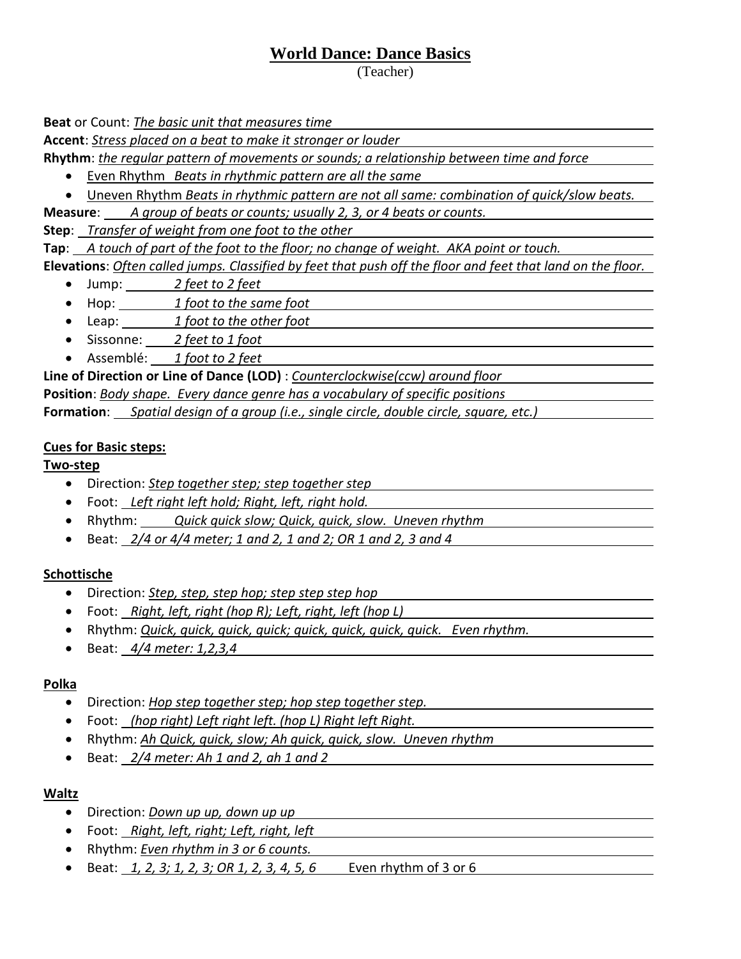# **World Dance: Dance Basics**

(Teacher)

**Beat** or Count: *The basic unit that measures time*

**Accent**: *Stress placed on a beat to make it stronger or louder*

**Rhythm**: *the regular pattern of movements or sounds; a relationship between time and force*

- Even Rhythm *Beats in rhythmic pattern are all the same*
- Uneven Rhythm *Beats in rhythmic pattern are not all same: combination of quick/slow beats.*

**Measure**: *A group of beats or counts; usually 2, 3, or 4 beats or counts.*

**Step**: *Transfer of weight from one foot to the other*

**Tap**: *A touch of part of the foot to the floor; no change of weight. AKA point or touch.*

**Elevations**: *Often called jumps. Classified by feet that push off the floor and feet that land on the floor.*

- Jump: *2 feet to 2 feet*
- Hop: *1 foot to the same foot*
- Leap: *1 foot to the other foot*
- Sissonne: *2 feet to 1 foot*
- Assemblé: *1 foot to 2 feet*

**Line of Direction or Line of Dance (LOD)** : *Counterclockwise(ccw) around floor* **Position**: *Body shape. Every dance genre has a vocabulary of specific positions* **Formation**: *Spatial design of a group (i.e., single circle, double circle, square, etc.)*

### **Cues for Basic steps:**

**Two-step**

- Direction: *Step together step; step together step*
- Foot: *Left right left hold; Right, left, right hold.*
- Rhythm: *Quick quick slow; Quick, quick, slow. Uneven rhythm*
- Beat: *2/4 or 4/4 meter; 1 and 2, 1 and 2; OR 1 and 2, 3 and 4*

## **Schottische**

- Direction: *Step, step, step hop; step step step hop*
- Foot: *Right, left, right (hop R); Left, right, left (hop L)*
- Rhythm: *Quick, quick, quick, quick; quick, quick, quick, quick. Even rhythm.*
- Beat: *4/4 meter: 1,2,3,4*

## **Polka**

- Direction: *Hop step together step; hop step together step.*
- Foot: *(hop right) Left right left. (hop L) Right left Right.*
- Rhythm: *Ah Quick, quick, slow; Ah quick, quick, slow. Uneven rhythm*
- Beat: *2/4 meter: Ah 1 and 2, ah 1 and 2*

#### **Waltz**

- Direction: *Down up up, down up up*
- Foot: *Right, left, right; Left, right, left*
- Rhythm: *Even rhythm in 3 or 6 counts.*
- Beat: *1, 2, 3; 1, 2, 3; OR 1, 2, 3, 4, 5, 6* Even rhythm of 3 or 6